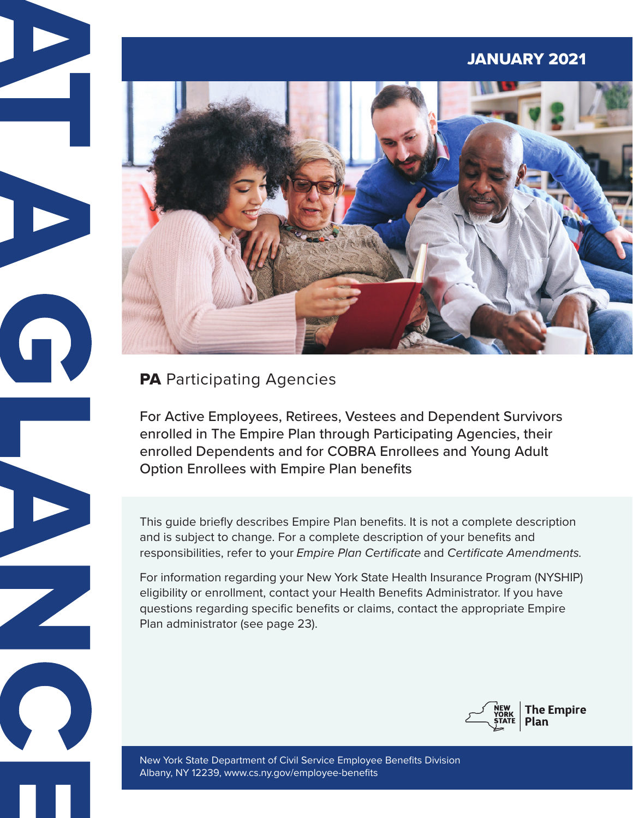# JANUARY 2021



# **PA** Participating Agencies

9

For Active Employees, Retirees, Vestees and Dependent Survivors enrolled in The Empire Plan through Participating Agencies, their enrolled Dependents and for COBRA Enrollees and Young Adult Option Enrollees with Empire Plan benefits

This guide briefly describes Empire Plan benefits. It is not a complete description and is subject to change. For a complete description of your benefits and responsibilities, refer to your *Empire Plan Certificate* and *Certificate Amendments.* 

For information regarding your New York State Health Insurance Program (NYSHIP) eligibility or enrollment, contact your Health Benefits Administrator. If you have questions regarding specific benefits or claims, contact the appropriate Empire Plan administrator (see page 23).



New York State Department of Civil Service Employee Benefits Division Albany, NY 12239, [www.cs.ny.gov/employee-benefits](http://www.cs.ny.gov/employee-benefits)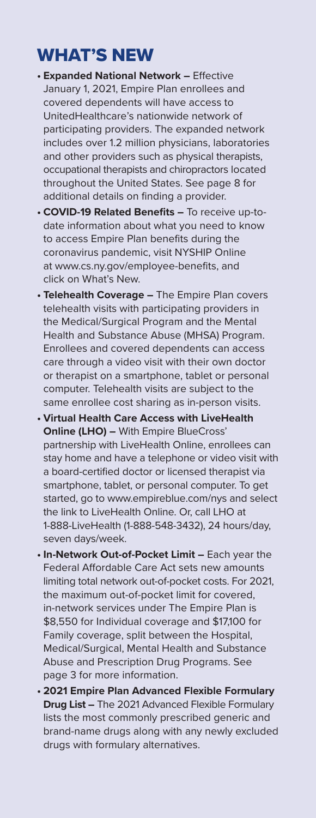# WHAT'S NEW

- **• Expanded National Network** Effective January 1, 2021, Empire Plan enrollees and covered dependents will have access to UnitedHealthcare's nationwide network of participating providers. The expanded network includes over 1.2 million physicians, laboratories and other providers such as physical therapists, occupational therapists and chiropractors located throughout the United States. See page 8 for additional details on finding a provider.
- **• COVID-19 Related Benefits** To receive up-todate information about what you need to know to access Empire Plan benefits during the coronavirus pandemic, visit NYSHIP Online at [www.cs.ny.gov/employee-benefits, an](http://www.cs.ny.gov/employee-benefits)d click on What's New.
- **• Telehealth Coverage** The Empire Plan covers telehealth visits with participating providers in the Medical/Surgical Program and the Mental Health and Substance Abuse (MHSA) Program. Enrollees and covered dependents can access care through a video visit with their own doctor or therapist on a smartphone, tablet or personal computer. Telehealth visits are subject to the same enrollee cost sharing as in-person visits.
- **• Virtual Health Care Access with LiveHealth Online (LHO) –** With Empire BlueCross' partnership with LiveHealth Online, enrollees can stay home and have a telephone or video visit with a board-certified doctor or licensed therapist via smartphone, tablet, or personal computer. To get started, go to [www.empireblue.com/nys an](http://www.empireblue.com/nys)d select the link to LiveHealth Online. Or, call LHO at 1-888-LiveHealth (1-888-548-3432), 24 hours/day, seven days/week.
- **• In-Network Out-of-Pocket Limit** Each year the Federal Affordable Care Act sets new amounts limiting total network out-of-pocket costs. For 2021, the maximum out-of-pocket limit for covered, in-network services under The Empire Plan is \$8,550 for Individual coverage and \$17,100 for Family coverage, split between the Hospital, Medical/Surgical, Mental Health and Substance Abuse and Prescription Drug Programs. See page 3 for more information.
- **• 2021 Empire Plan Advanced Flexible Formulary Drug List –** The 2021 Advanced Flexible Formulary lists the most commonly prescribed generic and brand-name drugs along with any newly excluded drugs with formulary alternatives.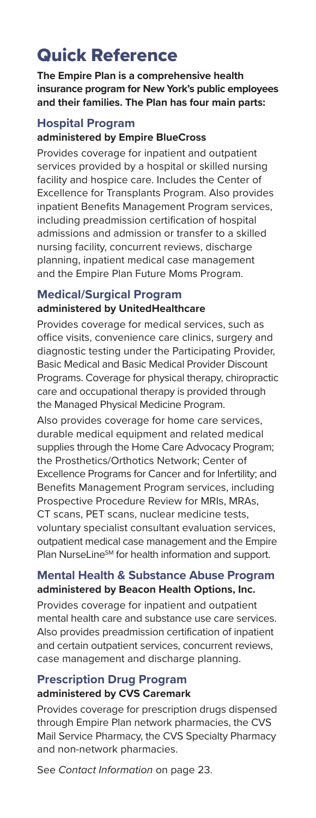# Quick Reference

**The Empire Plan is a comprehensive health insurance program for New York's public employees and their families. The Plan has four main parts:**

### **Hospital Program administered by Empire BlueCross**

Provides coverage for inpatient and outpatient services provided by a hospital or skilled nursing facility and hospice care. Includes the Center of Excellence for Transplants Program. Also provides inpatient Benefits Management Program services, including preadmission certification of hospital admissions and admission or transfer to a skilled nursing facility, concurrent reviews, discharge planning, inpatient medical case management and the Empire Plan Future Moms Program.

# **Medical/Surgical Program administered by UnitedHealthcare**

Provides coverage for medical services, such as office visits, convenience care clinics, surgery and diagnostic testing under the Participating Provider, Basic Medical and Basic Medical Provider Discount Programs. Coverage for physical therapy, chiropractic care and occupational therapy is provided through the Managed Physical Medicine Program.

Also provides coverage for home care services, durable medical equipment and related medical supplies through the Home Care Advocacy Program; the Prosthetics/Orthotics Network; Center of Excellence Programs for Cancer and for Infertility; and Benefits Management Program services, including Prospective Procedure Review for MRIs, MRAs, CT scans, PET scans, nuclear medicine tests, voluntary specialist consultant evaluation services, outpatient medical case management and the Empire Plan NurseLine<sup>sM</sup> for health information and support.

# **Mental Health & Substance Abuse Program administered by Beacon Health Options, Inc.**

Provides coverage for inpatient and outpatient mental health care and substance use care services. Also provides preadmission certification of inpatient and certain outpatient services, concurrent reviews, case management and discharge planning.

## **Prescription Drug Program administered by CVS Caremark**

Provides coverage for prescription drugs dispensed through Empire Plan network pharmacies, the CVS Mail Service Pharmacy, the CVS Specialty Pharmacy and non-network pharmacies.

See *Contact Information* on page 23.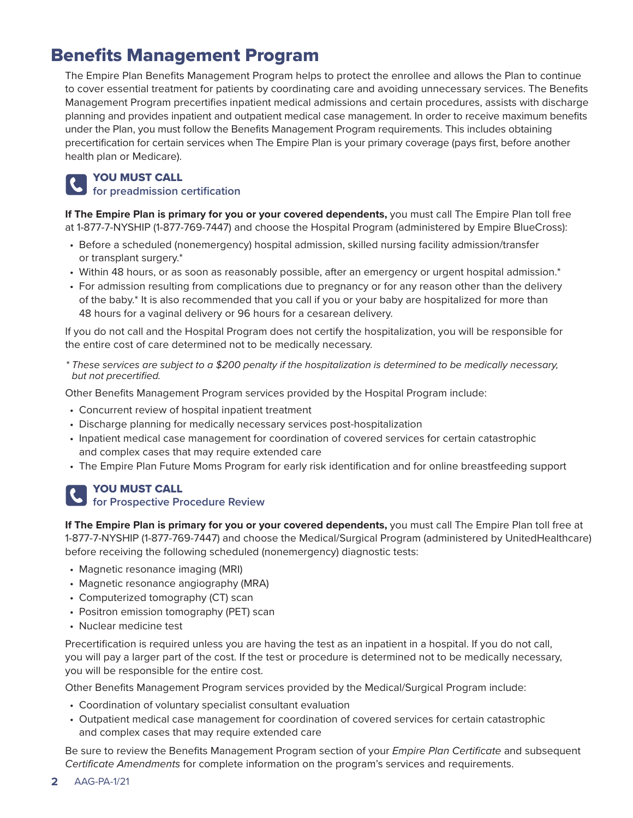# Benefits Management Program

The Empire Plan Benefits Management Program helps to protect the enrollee and allows the Plan to continue to cover essential treatment for patients by coordinating care and avoiding unnecessary services. The Benefits Management Program precertifies inpatient medical admissions and certain procedures, assists with discharge planning and provides inpatient and outpatient medical case management. In order to receive maximum benefits under the Plan, you must follow the Benefits Management Program requirements. This includes obtaining precertification for certain services when The Empire Plan is your primary coverage (pays first, before another health plan or Medicare).

### YOU MUST CALL

### **for preadmission certification**

**If The Empire Plan is primary for you or your covered dependents,** you must call The Empire Plan toll free at 1-877-7-NYSHIP (1-877-769-7447) and choose the Hospital Program (administered by Empire BlueCross):

- Before a scheduled (nonemergency) hospital admission, skilled nursing facility admission/transfer or transplant surgery.\*
- Within 48 hours, or as soon as reasonably possible, after an emergency or urgent hospital admission.\*
- For admission resulting from complications due to pregnancy or for any reason other than the delivery of the baby.\* It is also recommended that you call if you or your baby are hospitalized for more than 48 hours for a vaginal delivery or 96 hours for a cesarean delivery.

If you do not call and the Hospital Program does not certify the hospitalization, you will be responsible for the entire cost of care determined not to be medically necessary.

*\* These services are subject to a \$200 penalty if the hospitalization is determined to be medically necessary, but not precertified.* 

Other Benefits Management Program services provided by the Hospital Program include:

- Concurrent review of hospital inpatient treatment
- Discharge planning for medically necessary services post-hospitalization
- Inpatient medical case management for coordination of covered services for certain catastrophic and complex cases that may require extended care
- The Empire Plan Future Moms Program for early risk identification and for online breastfeeding support

# YOU MUST CALL **for Prospective Procedure Review**

**If The Empire Plan is primary for you or your covered dependents,** you must call The Empire Plan toll free at 1-877-7-NYSHIP (1-877-769-7447) and choose the Medical/Surgical Program (administered by UnitedHealthcare) before receiving the following scheduled (nonemergency) diagnostic tests:

- Magnetic resonance imaging (MRI)
- Magnetic resonance angiography (MRA)
- Computerized tomography (CT) scan
- Positron emission tomography (PET) scan
- Nuclear medicine test

Precertification is required unless you are having the test as an inpatient in a hospital. If you do not call, you will pay a larger part of the cost. If the test or procedure is determined not to be medically necessary, you will be responsible for the entire cost.

Other Benefits Management Program services provided by the Medical/Surgical Program include:

- Coordination of voluntary specialist consultant evaluation
- Outpatient medical case management for coordination of covered services for certain catastrophic and complex cases that may require extended care

Be sure to review the Benefits Management Program section of your *Empire Plan Certificate* and subsequent *Certificate Amendments* for complete information on the program's services and requirements.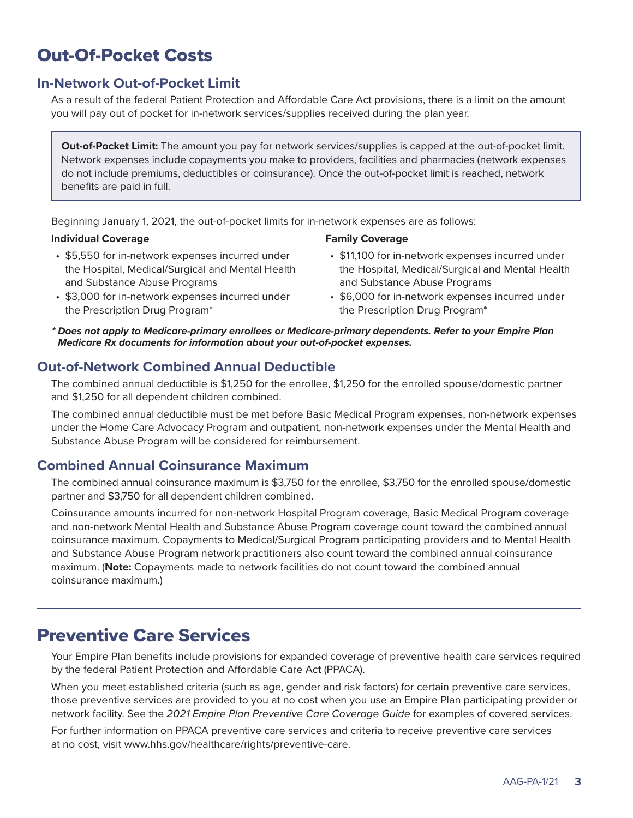# Out-Of-Pocket Costs

# **In-Network Out-of-Pocket Limit**

As a result of the federal Patient Protection and Affordable Care Act provisions, there is a limit on the amount you will pay out of pocket for in-network services/supplies received during the plan year.

**Out-of-Pocket Limit:** The amount you pay for network services/supplies is capped at the out-of-pocket limit. Network expenses include copayments you make to providers, facilities and pharmacies (network expenses do not include premiums, deductibles or coinsurance). Once the out-of-pocket limit is reached, network benefits are paid in full.

Beginning January 1, 2021, the out-of-pocket limits for in-network expenses are as follows:

#### **Individual Coverage**

- \$5,550 for in-network expenses incurred under the Hospital, Medical/Surgical and Mental Health and Substance Abuse Programs
- \$3,000 for in-network expenses incurred under the Prescription Drug Program\*

# **Family Coverage**

- \$11,100 for in-network expenses incurred under the Hospital, Medical/Surgical and Mental Health and Substance Abuse Programs
- \$6,000 for in-network expenses incurred under the Prescription Drug Program\*
- *\* Does not apply to Medicare-primary enrollees or Medicare-primary dependents. Refer to your Empire Plan Medicare Rx documents for information about your out-of-pocket expenses.*

# **Out-of-Network Combined Annual Deductible**

The combined annual deductible is \$1,250 for the enrollee, \$1,250 for the enrolled spouse/domestic partner and \$1,250 for all dependent children combined.

The combined annual deductible must be met before Basic Medical Program expenses, non-network expenses under the Home Care Advocacy Program and outpatient, non-network expenses under the Mental Health and Substance Abuse Program will be considered for reimbursement.

# **Combined Annual Coinsurance Maximum**

The combined annual coinsurance maximum is \$3,750 for the enrollee, \$3,750 for the enrolled spouse/domestic partner and \$3,750 for all dependent children combined.

Coinsurance amounts incurred for non-network Hospital Program coverage, Basic Medical Program coverage and non-network Mental Health and Substance Abuse Program coverage count toward the combined annual coinsurance maximum. Copayments to Medical/Surgical Program participating providers and to Mental Health and Substance Abuse Program network practitioners also count toward the combined annual coinsurance maximum. (**Note:** Copayments made to network facilities do not count toward the combined annual coinsurance maximum.)

# Preventive Care Services

Your Empire Plan benefits include provisions for expanded coverage of preventive health care services required by the federal Patient Protection and Affordable Care Act (PPACA).

When you meet established criteria (such as age, gender and risk factors) for certain preventive care services, those preventive services are provided to you at no cost when you use an Empire Plan participating provider or network facility. See the *2021 Empire Plan Preventive Care Coverage Guide* for examples of covered services.

For further information on PPACA preventive care services and criteria to receive preventive care services at no cost, visit [www.hhs.gov/healthcare/rights/preventive-care.](http://www.hhs.gov/healthcare/rights/preventive-care)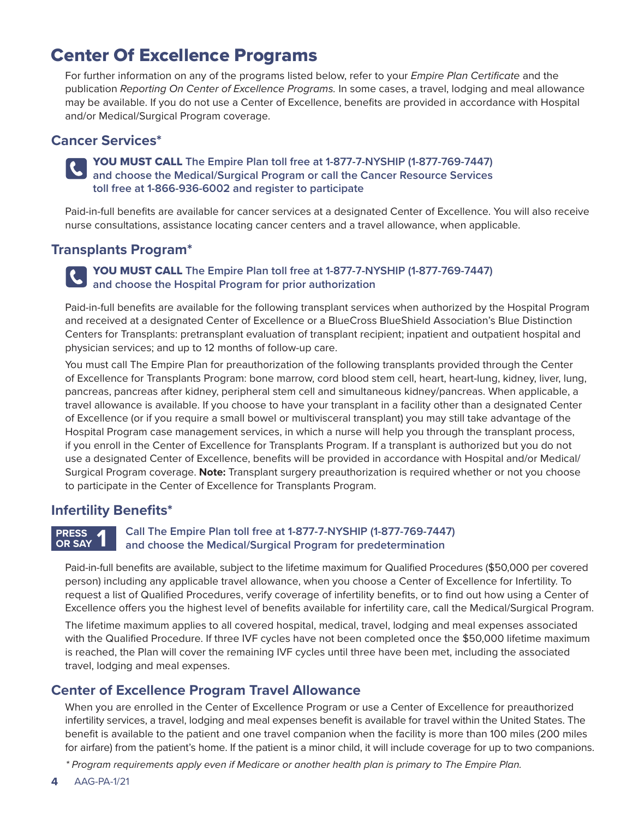# Center Of Excellence Programs

For further information on any of the programs listed below, refer to your *Empire Plan Certificate* and the publication *Reporting On Center of Excellence Programs.* In some cases, a travel, lodging and meal allowance may be available. If you do not use a Center of Excellence, benefits are provided in accordance with Hospital and/or Medical/Surgical Program coverage.

# **Cancer Services\***

## YOU MUST CALL **The Empire Plan toll free at 1-877-7-NYSHIP (1-877-769-7447) and choose the Medical/Surgical Program or call the Cancer Resource Services toll free at 1-866-936-6002 and register to participate**

Paid-in-full benefits are available for cancer services at a designated Center of Excellence. You will also receive nurse consultations, assistance locating cancer centers and a travel allowance, when applicable.

# **Transplants Program\***

### YOU MUST CALL **The Empire Plan toll free at 1-877-7-NYSHIP (1-877-769-7447) and choose the Hospital Program for prior authorization**

Paid-in-full benefits are available for the following transplant services when authorized by the Hospital Program and received at a designated Center of Excellence or a BlueCross BlueShield Association's Blue Distinction Centers for Transplants: pretransplant evaluation of transplant recipient; inpatient and outpatient hospital and physician services; and up to 12 months of follow-up care.

You must call The Empire Plan for preauthorization of the following transplants provided through the Center of Excellence for Transplants Program: bone marrow, cord blood stem cell, heart, heart-lung, kidney, liver, lung, pancreas, pancreas after kidney, peripheral stem cell and simultaneous kidney/pancreas. When applicable, a travel allowance is available. If you choose to have your transplant in a facility other than a designated Center of Excellence (or if you require a small bowel or multivisceral transplant) you may still take advantage of the Hospital Program case management services, in which a nurse will help you through the transplant process, if you enroll in the Center of Excellence for Transplants Program. If a transplant is authorized but you do not use a designated Center of Excellence, benefits will be provided in accordance with Hospital and/or Medical/ Surgical Program coverage. **Note:** Transplant surgery preauthorization is required whether or not you choose to participate in the Center of Excellence for Transplants Program.

# **Infertility Benefits\***

#### **PRESS OR SAY 1**

## **Call The Empire Plan toll free at 1-877-7-NYSHIP (1-877-769-7447) and choose the Medical/Surgical Program for predetermination**

Paid-in-full benefits are available, subject to the lifetime maximum for Qualified Procedures (\$50,000 per covered person) including any applicable travel allowance, when you choose a Center of Excellence for Infertility. To request a list of Qualified Procedures, verify coverage of infertility benefits, or to find out how using a Center of Excellence offers you the highest level of benefits available for infertility care, call the Medical/Surgical Program.

The lifetime maximum applies to all covered hospital, medical, travel, lodging and meal expenses associated with the Qualified Procedure. If three IVF cycles have not been completed once the \$50,000 lifetime maximum is reached, the Plan will cover the remaining IVF cycles until three have been met, including the associated travel, lodging and meal expenses.

# **Center of Excellence Program Travel Allowance**

When you are enrolled in the Center of Excellence Program or use a Center of Excellence for preauthorized infertility services, a travel, lodging and meal expenses benefit is available for travel within the United States. The benefit is available to the patient and one travel companion when the facility is more than 100 miles (200 miles for airfare) from the patient's home. If the patient is a minor child, it will include coverage for up to two companions.

*\* Program requirements apply even if Medicare or another health plan is primary to The Empire Plan.*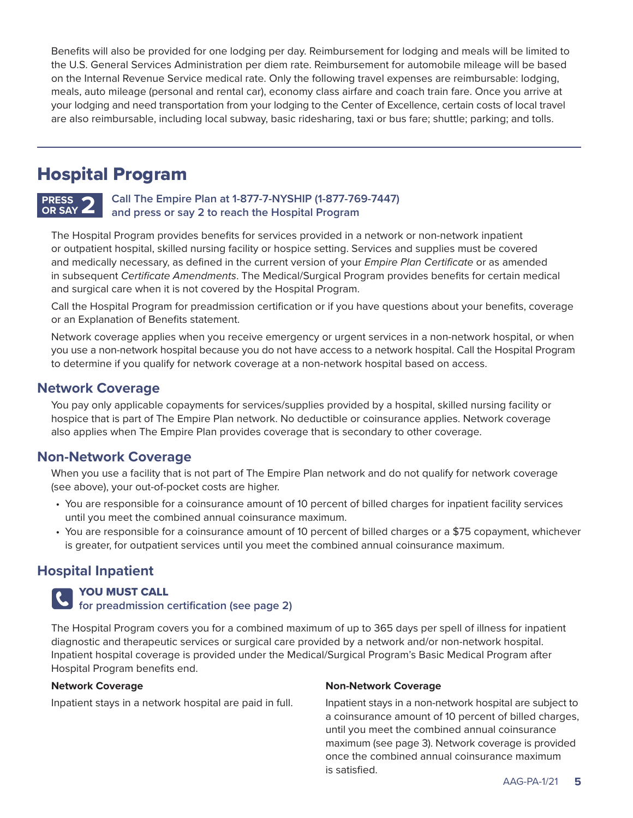Benefits will also be provided for one lodging per day. Reimbursement for lodging and meals will be limited to the U.S. General Services Administration per diem rate. Reimbursement for automobile mileage will be based on the Internal Revenue Service medical rate. Only the following travel expenses are reimbursable: lodging, meals, auto mileage (personal and rental car), economy class airfare and coach train fare. Once you arrive at your lodging and need transportation from your lodging to the Center of Excellence, certain costs of local travel are also reimbursable, including local subway, basic ridesharing, taxi or bus fare; shuttle; parking; and tolls.

# Hospital Program

#### **Call The Empire Plan at 1-877-7-NYSHIP (1-877-769-7447) and press or say 2 to reach the Hospital Program PRESS** OR SAY  $\angle$

The Hospital Program provides benefits for services provided in a network or non-network inpatient or outpatient hospital, skilled nursing facility or hospice setting. Services and supplies must be covered and medically necessary, as defined in the current version of your *Empire Plan Certificate* or as amended in subsequent *Certificate Amendments*. The Medical/Surgical Program provides benefits for certain medical and surgical care when it is not covered by the Hospital Program.

Call the Hospital Program for preadmission certification or if you have questions about your benefits, coverage or an Explanation of Benefits statement.

Network coverage applies when you receive emergency or urgent services in a non-network hospital, or when you use a non-network hospital because you do not have access to a network hospital. Call the Hospital Program to determine if you qualify for network coverage at a non-network hospital based on access.

# **Network Coverage**

You pay only applicable copayments for services/supplies provided by a hospital, skilled nursing facility or hospice that is part of The Empire Plan network. No deductible or coinsurance applies. Network coverage also applies when The Empire Plan provides coverage that is secondary to other coverage.

# **Non-Network Coverage**

When you use a facility that is not part of The Empire Plan network and do not qualify for network coverage (see above), your out-of-pocket costs are higher.

- You are responsible for a coinsurance amount of 10 percent of billed charges for inpatient facility services until you meet the combined annual coinsurance maximum.
- You are responsible for a coinsurance amount of 10 percent of billed charges or a \$75 copayment, whichever is greater, for outpatient services until you meet the combined annual coinsurance maximum.

# **Hospital Inpatient**

## YOU MUST CALL

## **for preadmission certification (see page 2)**

The Hospital Program covers you for a combined maximum of up to 365 days per spell of illness for inpatient diagnostic and therapeutic services or surgical care provided by a network and/or non-network hospital. Inpatient hospital coverage is provided under the Medical/Surgical Program's Basic Medical Program after Hospital Program benefits end.

#### **Network Coverage**

Inpatient stays in a network hospital are paid in full.

#### **Non-Network Coverage**

Inpatient stays in a non-network hospital are subject to a coinsurance amount of 10 percent of billed charges, until you meet the combined annual coinsurance maximum (see page 3). Network coverage is provided once the combined annual coinsurance maximum is satisfied.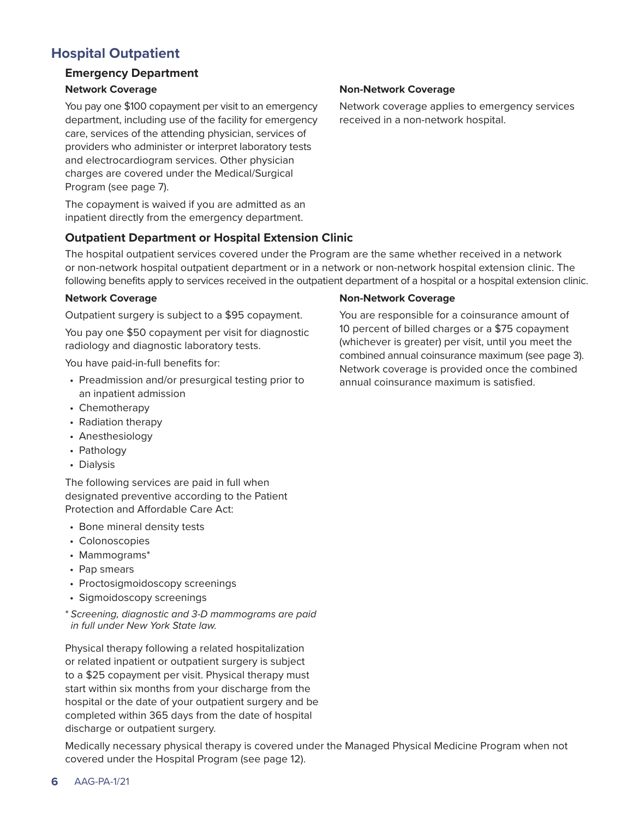# **Hospital Outpatient**

# **Emergency Department**

### **Network Coverage**

You pay one \$100 copayment per visit to an emergency department, including use of the facility for emergency care, services of the attending physician, services of providers who administer or interpret laboratory tests and electrocardiogram services. Other physician charges are covered under the Medical/Surgical Program (see page 7).

The copayment is waived if you are admitted as an inpatient directly from the emergency department.

# **Outpatient Department or Hospital Extension Clinic**

The hospital outpatient services covered under the Program are the same whether received in a network or non-network hospital outpatient department or in a network or non-network hospital extension clinic. The following benefits apply to services received in the outpatient department of a hospital or a hospital extension clinic.

### **Network Coverage**

Outpatient surgery is subject to a \$95 copayment.

You pay one \$50 copayment per visit for diagnostic radiology and diagnostic laboratory tests.

You have paid-in-full benefits for:

- Preadmission and/or presurgical testing prior to an inpatient admission
- Chemotherapy
- Radiation therapy
- Anesthesiology
- Pathology
- Dialysis

The following services are paid in full when designated preventive according to the Patient Protection and Affordable Care Act:

- Bone mineral density tests
- Colonoscopies
- Mammograms\*
- Pap smears
- Proctosigmoidoscopy screenings
- Sigmoidoscopy screenings

*\* Screening, diagnostic and 3-D mammograms are paid in full under New York State law.*

Physical therapy following a related hospitalization or related inpatient or outpatient surgery is subject to a \$25 copayment per visit. Physical therapy must start within six months from your discharge from the hospital or the date of your outpatient surgery and be completed within 365 days from the date of hospital discharge or outpatient surgery.

Medically necessary physical therapy is covered under the Managed Physical Medicine Program when not covered under the Hospital Program (see page 12).

### **Non-Network Coverage**

Network coverage applies to emergency services received in a non-network hospital.

#### **Non-Network Coverage**

You are responsible for a coinsurance amount of 10 percent of billed charges or a \$75 copayment (whichever is greater) per visit, until you meet the combined annual coinsurance maximum (see page 3). Network coverage is provided once the combined annual coinsurance maximum is satisfied.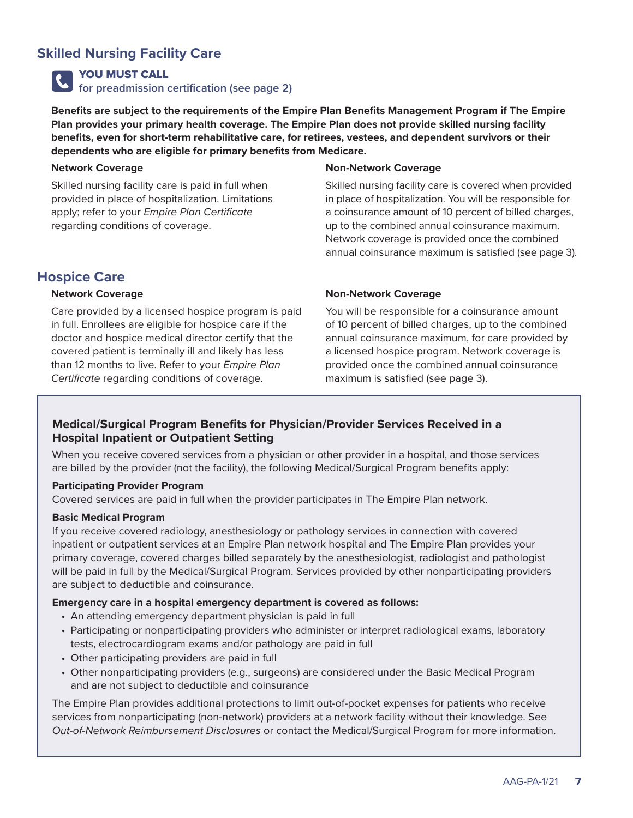# **Skilled Nursing Facility Care**

YOU MUST CALL

**for preadmission certification (see page 2)**

**Benefits are subject to the requirements of the Empire Plan Benefits Management Program if The Empire Plan provides your primary health coverage. The Empire Plan does not provide skilled nursing facility benefits, even for short-term rehabilitative care, for retirees, vestees, and dependent survivors or their dependents who are eligible for primary benefits from Medicare.** 

#### **Network Coverage**

Skilled nursing facility care is paid in full when provided in place of hospitalization. Limitations apply; refer to your *Empire Plan Certificate* regarding conditions of coverage.

### **Non-Network Coverage**

Skilled nursing facility care is covered when provided in place of hospitalization. You will be responsible for a coinsurance amount of 10 percent of billed charges, up to the combined annual coinsurance maximum. Network coverage is provided once the combined annual coinsurance maximum is satisfied (see page 3).

# **Hospice Care**

#### **Network Coverage**

Care provided by a licensed hospice program is paid in full. Enrollees are eligible for hospice care if the doctor and hospice medical director certify that the covered patient is terminally ill and likely has less than 12 months to live. Refer to your *Empire Plan Certificate* regarding conditions of coverage.

#### **Non-Network Coverage**

You will be responsible for a coinsurance amount of 10 percent of billed charges, up to the combined annual coinsurance maximum, for care provided by a licensed hospice program. Network coverage is provided once the combined annual coinsurance maximum is satisfied (see page 3).

## **Medical/Surgical Program Benefits for Physician/Provider Services Received in a Hospital Inpatient or Outpatient Setting**

When you receive covered services from a physician or other provider in a hospital, and those services are billed by the provider (not the facility), the following Medical/Surgical Program benefits apply:

#### **Participating Provider Program**

Covered services are paid in full when the provider participates in The Empire Plan network.

#### **Basic Medical Program**

If you receive covered radiology, anesthesiology or pathology services in connection with covered inpatient or outpatient services at an Empire Plan network hospital and The Empire Plan provides your primary coverage, covered charges billed separately by the anesthesiologist, radiologist and pathologist will be paid in full by the Medical/Surgical Program. Services provided by other nonparticipating providers are subject to deductible and coinsurance.

#### **Emergency care in a hospital emergency department is covered as follows:**

- An attending emergency department physician is paid in full
- Participating or nonparticipating providers who administer or interpret radiological exams, laboratory tests, electrocardiogram exams and/or pathology are paid in full
- Other participating providers are paid in full
- Other nonparticipating providers (e.g., surgeons) are considered under the Basic Medical Program and are not subject to deductible and coinsurance

The Empire Plan provides additional protections to limit out-of-pocket expenses for patients who receive services from nonparticipating (non-network) providers at a network facility without their knowledge. See *Out-of-Network Reimbursement Disclosures* or contact the Medical/Surgical Program for more information.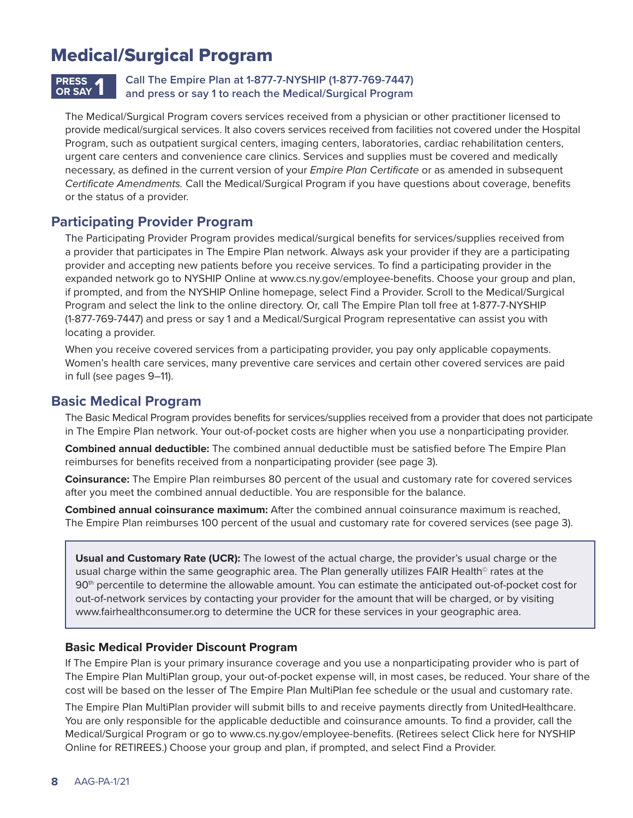# Medical/Surgical Program

# **PRESS OR SAY 1**

# **Call The Empire Plan at 1-877-7-NYSHIP (1-877-769-7447) and press or say 1 to reach the Medical/Surgical Program**

The Medical/Surgical Program covers services received from a physician or other practitioner licensed to provide medical/surgical services. It also covers services received from facilities not covered under the Hospital Program, such as outpatient surgical centers, imaging centers, laboratories, cardiac rehabilitation centers, urgent care centers and convenience care clinics. Services and supplies must be covered and medically necessary, as defined in the current version of your *Empire Plan Certificate* or as amended in subsequent *Certificate Amendments.* Call the Medical/Surgical Program if you have questions about coverage, benefits or the status of a provider.

# **Participating Provider Program**

The Participating Provider Program provides medical/surgical benefits for services/supplies received from a provider that participates in The Empire Plan network. Always ask your provider if they are a participating provider and accepting new patients before you receive services. To find a participating provider in the expanded network go to NYSHIP Online at [www.cs.ny.gov/employee-benefits. Ch](http://www.cs.ny.gov/employee-benefits)oose your group and plan, if prompted, and from the NYSHIP Online homepage, select Find a Provider. Scroll to the Medical/Surgical Program and select the link to the online directory. Or, call The Empire Plan toll free at 1-877-7-NYSHIP (1-877-769-7447) and press or say 1 and a Medical/Surgical Program representative can assist you with locating a provider.

When you receive covered services from a participating provider, you pay only applicable copayments. Women's health care services, many preventive care services and certain other covered services are paid in full (see pages 9–11).

# **Basic Medical Program**

The Basic Medical Program provides benefits for services/supplies received from a provider that does not participate in The Empire Plan network. Your out-of-pocket costs are higher when you use a nonparticipating provider.

**Combined annual deductible:** The combined annual deductible must be satisfied before The Empire Plan reimburses for benefits received from a nonparticipating provider (see page 3).

**Coinsurance:** The Empire Plan reimburses 80 percent of the usual and customary rate for covered services after you meet the combined annual deductible. You are responsible for the balance.

**Combined annual coinsurance maximum:** After the combined annual coinsurance maximum is reached, The Empire Plan reimburses 100 percent of the usual and customary rate for covered services (see page 3).

**Usual and Customary Rate (UCR):** The lowest of the actual charge, the provider's usual charge or the usual charge within the same geographic area. The Plan generally utilizes FAIR Health<sup>®</sup> rates at the 90<sup>th</sup> percentile to determine the allowable amount. You can estimate the anticipated out-of-pocket cost for out-of-network services by contacting your provider for the amount that will be charged, or by visiting [www.fairhealthconsumer.org to](http://www.fairhealthconsumer.org) determine the UCR for these services in your geographic area.

## **Basic Medical Provider Discount Program**

If The Empire Plan is your primary insurance coverage and you use a nonparticipating provider who is part of The Empire Plan MultiPlan group, your out-of-pocket expense will, in most cases, be reduced. Your share of the cost will be based on the lesser of The Empire Plan MultiPlan fee schedule or the usual and customary rate.

The Empire Plan MultiPlan provider will submit bills to and receive payments directly from UnitedHealthcare. You are only responsible for the applicable deductible and coinsurance amounts. To find a provider, call the Medical/Surgical Program or go to [www.cs.ny.gov/employee-benefits. \(R](http://www.cs.ny.gov/employee-benefits)etirees select Click here for NYSHIP Online for RETIREES.) Choose your group and plan, if prompted, and select Find a Provider.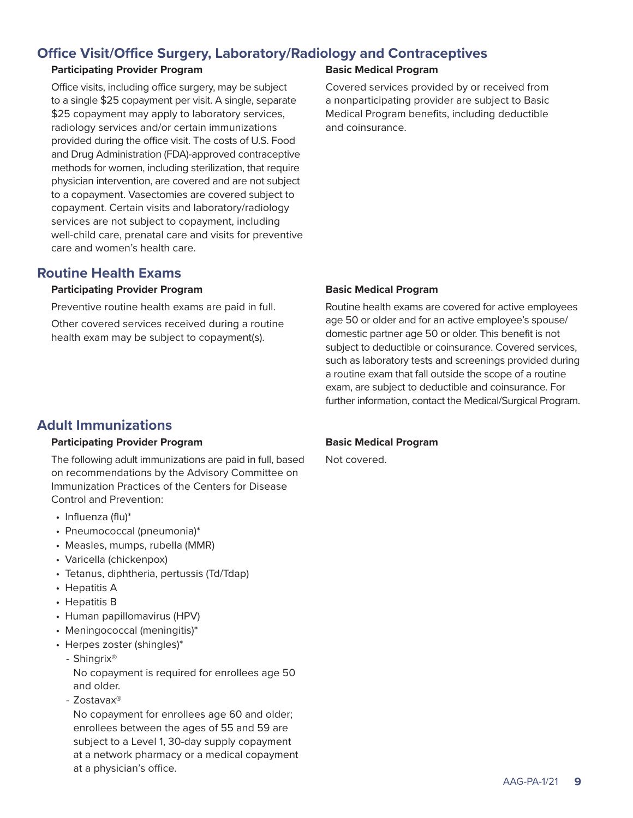# **Office Visit/Office Surgery, Laboratory/Radiology and Contraceptives**

### **Participating Provider Program**

Office visits, including office surgery, may be subject to a single \$25 copayment per visit. A single, separate \$25 copayment may apply to laboratory services, radiology services and/or certain immunizations provided during the office visit. The costs of U.S. Food and Drug Administration (FDA)-approved contraceptive methods for women, including sterilization, that require physician intervention, are covered and are not subject to a copayment. Vasectomies are covered subject to copayment. Certain visits and laboratory/radiology services are not subject to copayment, including well-child care, prenatal care and visits for preventive care and women's health care.

# **Routine Health Exams**

### **Participating Provider Program**

Preventive routine health exams are paid in full.

Other covered services received during a routine health exam may be subject to copayment(s).

# **Basic Medical Program**

Covered services provided by or received from a nonparticipating provider are subject to Basic Medical Program benefits, including deductible and coinsurance.

### **Basic Medical Program**

Routine health exams are covered for active employees age 50 or older and for an active employee's spouse/ domestic partner age 50 or older. This benefit is not subject to deductible or coinsurance. Covered services, such as laboratory tests and screenings provided during a routine exam that fall outside the scope of a routine exam, are subject to deductible and coinsurance. For further information, contact the Medical/Surgical Program.

# **Adult Immunizations**

### **Participating Provider Program**

The following adult immunizations are paid in full, based on recommendations by the Advisory Committee on Immunization Practices of the Centers for Disease Control and Prevention:

- Influenza (flu)\*
- Pneumococcal (pneumonia)\*
- Measles, mumps, rubella (MMR)
- Varicella (chickenpox)
- Tetanus, diphtheria, pertussis (Td/Tdap)
- Hepatitis A
- Hepatitis B
- Human papillomavirus (HPV)
- Meningococcal (meningitis)\*
- Herpes zoster (shingles)\*
	- Shingrix®

No copayment is required for enrollees age 50 and older.

- Zostavax®

No copayment for enrollees age 60 and older; enrollees between the ages of 55 and 59 are subject to a Level 1, 30-day supply copayment at a network pharmacy or a medical copayment at a physician's office.

## **Basic Medical Program**

Not covered.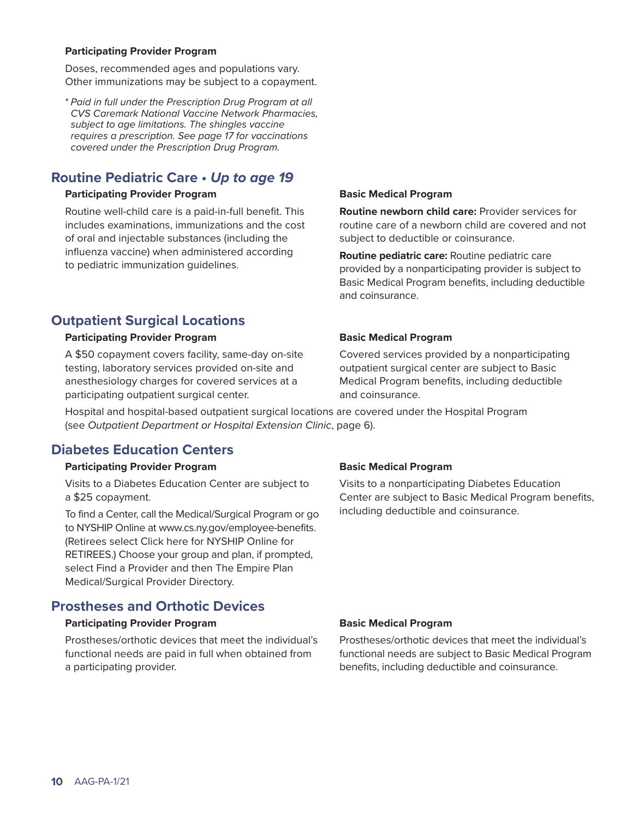#### **Participating Provider Program**

Doses, recommended ages and populations vary. Other immunizations may be subject to a copayment.

*\* Paid in full under the Prescription Drug Program at all CVS Caremark National Vaccine Network Pharmacies, subject to age limitations. The shingles vaccine requires a prescription. See page 17 for vaccinations covered under the Prescription Drug Program.*

# **Routine Pediatric Care •** *Up to age 19*

#### **Participating Provider Program**

Routine well-child care is a paid-in-full benefit. This includes examinations, immunizations and the cost of oral and injectable substances (including the influenza vaccine) when administered according to pediatric immunization guidelines.

#### **Basic Medical Program**

**Routine newborn child care:** Provider services for routine care of a newborn child are covered and not subject to deductible or coinsurance.

**Routine pediatric care:** Routine pediatric care provided by a nonparticipating provider is subject to Basic Medical Program benefits, including deductible and coinsurance.

# **Outpatient Surgical Locations**

#### **Participating Provider Program**

A \$50 copayment covers facility, same-day on-site testing, laboratory services provided on-site and anesthesiology charges for covered services at a participating outpatient surgical center.

#### **Basic Medical Program**

Covered services provided by a nonparticipating outpatient surgical center are subject to Basic Medical Program benefits, including deductible and coinsurance.

Hospital and hospital-based outpatient surgical locations are covered under the Hospital Program (see *Outpatient Department or Hospital Extension Clinic*, page 6).

# **Diabetes Education Centers**

#### **Participating Provider Program**

Visits to a Diabetes Education Center are subject to a \$25 copayment.

To find a Center, call the Medical/Surgical Program or go to NYSHIP Online at [www.cs.ny.gov/employee-benefits.](http://www.cs.ny.gov/employee-benefits)  (Retirees select Click here for NYSHIP Online for RETIREES.) Choose your group and plan, if prompted, select Find a Provider and then The Empire Plan Medical/Surgical Provider Directory.

# **Prostheses and Orthotic Devices**

#### **Participating Provider Program**

Prostheses/orthotic devices that meet the individual's functional needs are paid in full when obtained from a participating provider.

#### **Basic Medical Program**

Visits to a nonparticipating Diabetes Education Center are subject to Basic Medical Program benefits, including deductible and coinsurance.

#### **Basic Medical Program**

Prostheses/orthotic devices that meet the individual's functional needs are subject to Basic Medical Program benefits, including deductible and coinsurance.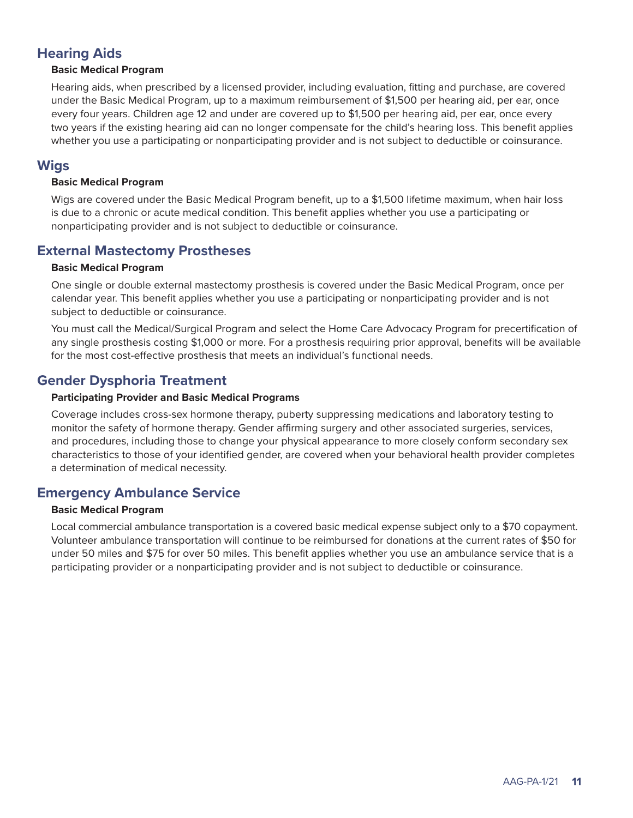# **Hearing Aids**

#### **Basic Medical Program**

Hearing aids, when prescribed by a licensed provider, including evaluation, fitting and purchase, are covered under the Basic Medical Program, up to a maximum reimbursement of \$1,500 per hearing aid, per ear, once every four years. Children age 12 and under are covered up to \$1,500 per hearing aid, per ear, once every two years if the existing hearing aid can no longer compensate for the child's hearing loss. This benefit applies whether you use a participating or nonparticipating provider and is not subject to deductible or coinsurance.

# **Wigs**

#### **Basic Medical Program**

Wigs are covered under the Basic Medical Program benefit, up to a \$1,500 lifetime maximum, when hair loss is due to a chronic or acute medical condition. This benefit applies whether you use a participating or nonparticipating provider and is not subject to deductible or coinsurance.

# **External Mastectomy Prostheses**

#### **Basic Medical Program**

One single or double external mastectomy prosthesis is covered under the Basic Medical Program, once per calendar year. This benefit applies whether you use a participating or nonparticipating provider and is not subject to deductible or coinsurance.

You must call the Medical/Surgical Program and select the Home Care Advocacy Program for precertification of any single prosthesis costing \$1,000 or more. For a prosthesis requiring prior approval, benefits will be available for the most cost-effective prosthesis that meets an individual's functional needs.

# **Gender Dysphoria Treatment**

#### **Participating Provider and Basic Medical Programs**

Coverage includes cross-sex hormone therapy, puberty suppressing medications and laboratory testing to monitor the safety of hormone therapy. Gender affirming surgery and other associated surgeries, services, and procedures, including those to change your physical appearance to more closely conform secondary sex characteristics to those of your identified gender, are covered when your behavioral health provider completes a determination of medical necessity.

# **Emergency Ambulance Service**

#### **Basic Medical Program**

Local commercial ambulance transportation is a covered basic medical expense subject only to a \$70 copayment. Volunteer ambulance transportation will continue to be reimbursed for donations at the current rates of \$50 for under 50 miles and \$75 for over 50 miles. This benefit applies whether you use an ambulance service that is a participating provider or a nonparticipating provider and is not subject to deductible or coinsurance.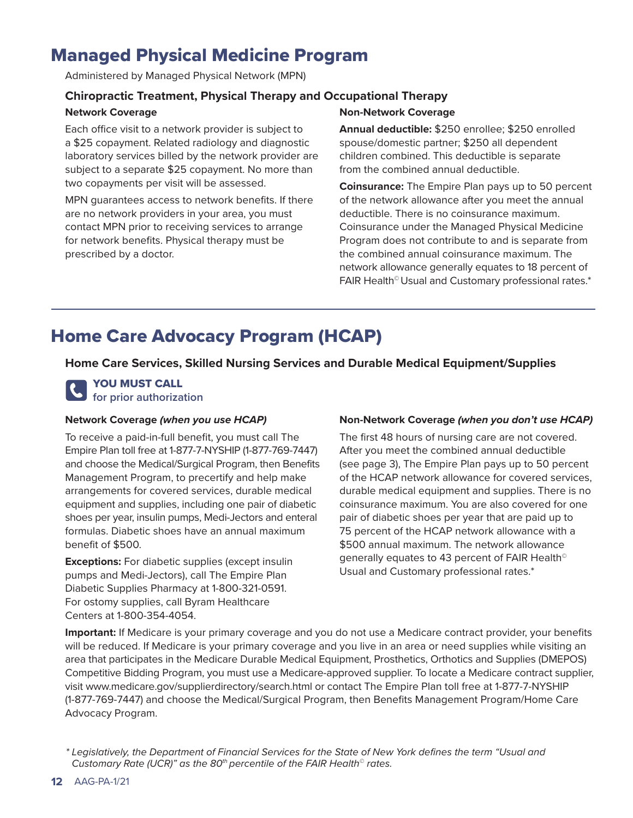# Managed Physical Medicine Program

Administered by Managed Physical Network (MPN)

# **Chiropractic Treatment, Physical Therapy and Occupational Therapy**

## **Network Coverage**

Each office visit to a network provider is subject to a \$25 copayment. Related radiology and diagnostic laboratory services billed by the network provider are subject to a separate \$25 copayment. No more than two copayments per visit will be assessed.

MPN guarantees access to network benefits. If there are no network providers in your area, you must contact MPN prior to receiving services to arrange for network benefits. Physical therapy must be prescribed by a doctor.

### **Non-Network Coverage**

**Annual deductible:** \$250 enrollee; \$250 enrolled spouse/domestic partner; \$250 all dependent children combined. This deductible is separate from the combined annual deductible.

**Coinsurance:** The Empire Plan pays up to 50 percent of the network allowance after you meet the annual deductible. There is no coinsurance maximum. Coinsurance under the Managed Physical Medicine Program does not contribute to and is separate from the combined annual coinsurance maximum. The network allowance generally equates to 18 percent of FAIR Health© Usual and Customary professional rates.\*

# Home Care Advocacy Program (HCAP)

**Home Care Services, Skilled Nursing Services and Durable Medical Equipment/Supplies**

## YOU MUST CALL **for prior authorization**

### **Network Coverage** *(when you use HCAP)*

To receive a paid-in-full benefit, you must call The Empire Plan toll free at 1-877-7-NYSHIP (1-877-769-7447) and choose the Medical/Surgical Program, then Benefits Management Program, to precertify and help make arrangements for covered services, durable medical equipment and supplies, including one pair of diabetic shoes per year, insulin pumps, Medi-Jectors and enteral formulas. Diabetic shoes have an annual maximum benefit of \$500.

**Exceptions:** For diabetic supplies (except insulin pumps and Medi-Jectors), call The Empire Plan Diabetic Supplies Pharmacy at 1-800-321-0591. For ostomy supplies, call Byram Healthcare Centers at 1-800-354-4054.

## **Non-Network Coverage** *(when you don't use HCAP)*

The first 48 hours of nursing care are not covered. After you meet the combined annual deductible (see page 3), The Empire Plan pays up to 50 percent of the HCAP network allowance for covered services, durable medical equipment and supplies. There is no coinsurance maximum. You are also covered for one pair of diabetic shoes per year that are paid up to 75 percent of the HCAP network allowance with a \$500 annual maximum. The network allowance generally equates to 43 percent of FAIR Health<sup>®</sup> Usual and Customary professional rates.\*

**Important:** If Medicare is your primary coverage and you do not use a Medicare contract provider, your benefits will be reduced. If Medicare is your primary coverage and you live in an area or need supplies while visiting an area that participates in the Medicare Durable Medical Equipment, Prosthetics, Orthotics and Supplies (DMEPOS) Competitive Bidding Program, you must use a Medicare-approved supplier. To locate a Medicare contract supplier, visit [www.medicare.gov/supplierdirectory/search.html or](http://www.medicare.gov/supplierdirectory/search.html) contact The Empire Plan toll free at 1-877-7-NYSHIP (1-877-769-7447) and choose the Medical/Surgical Program, then Benefits Management Program/Home Care Advocacy Program.

*<sup>\*</sup> Legislatively, the Department of Financial Services for the State of New York defines the term "Usual and Customary Rate (UCR)" as the 80th percentile of the FAIR Health© rates.*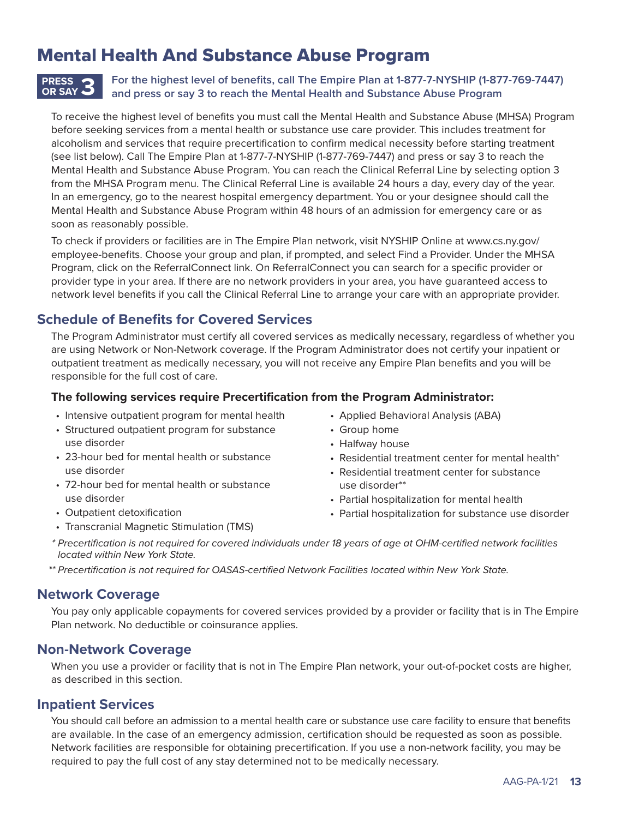# Mental Health And Substance Abuse Program

#### **For the highest level of benefits, call The Empire Plan at 1-877-7-NYSHIP (1-877-769-7447) and press or say 3 to reach the Mental Health and Substance Abuse Program PRESS OR SAY 3**

To receive the highest level of benefits you must call the Mental Health and Substance Abuse (MHSA) Program before seeking services from a mental health or substance use care provider. This includes treatment for alcoholism and services that require precertification to confirm medical necessity before starting treatment (see list below). Call The Empire Plan at 1-877-7-NYSHIP (1-877-769-7447) and press or say 3 to reach the Mental Health and Substance Abuse Program. You can reach the Clinical Referral Line by selecting option 3 from the MHSA Program menu. The Clinical Referral Line is available 24 hours a day, every day of the year. In an emergency, go to the nearest hospital emergency department. You or your designee should call the Mental Health and Substance Abuse Program within 48 hours of an admission for emergency care or as soon as reasonably possible.

To check if providers or facilities are in The Empire Plan network, visit NYSHIP Online at [www.cs.ny.gov/](http://www.cs.ny.gov/employee-benefits) [employee-benefits.](http://www.cs.ny.gov/employee-benefits) Choose your group and plan, if prompted, and select Find a Provider. Under the MHSA Program, click on the ReferralConnect link. On ReferralConnect you can search for a specific provider or provider type in your area. If there are no network providers in your area, you have guaranteed access to network level benefits if you call the Clinical Referral Line to arrange your care with an appropriate provider.

# **Schedule of Benefits for Covered Services**

The Program Administrator must certify all covered services as medically necessary, regardless of whether you are using Network or Non-Network coverage. If the Program Administrator does not certify your inpatient or outpatient treatment as medically necessary, you will not receive any Empire Plan benefits and you will be responsible for the full cost of care.

### **The following services require Precertification from the Program Administrator:**

- Intensive outpatient program for mental health
- Structured outpatient program for substance use disorder
- 23-hour bed for mental health or substance use disorder
- 72-hour bed for mental health or substance use disorder
- Outpatient detoxification
- Transcranial Magnetic Stimulation (TMS)
- Applied Behavioral Analysis (ABA)
- Group home
- Halfway house
- Residential treatment center for mental health\*
- Residential treatment center for substance use disorder\*\*
- Partial hospitalization for mental health
- Partial hospitalization for substance use disorder
- *\* Precertification is not required for covered individuals under 18 years of age at OHM-certified network facilities located within New York State.*
- *\*\* Precertification is not required for OASAS-certified Network Facilities located within New York State.*

# **Network Coverage**

You pay only applicable copayments for covered services provided by a provider or facility that is in The Empire Plan network. No deductible or coinsurance applies.

# **Non-Network Coverage**

When you use a provider or facility that is not in The Empire Plan network, your out-of-pocket costs are higher, as described in this section.

# **Inpatient Services**

You should call before an admission to a mental health care or substance use care facility to ensure that benefits are available. In the case of an emergency admission, certification should be requested as soon as possible. Network facilities are responsible for obtaining precertification. If you use a non-network facility, you may be required to pay the full cost of any stay determined not to be medically necessary.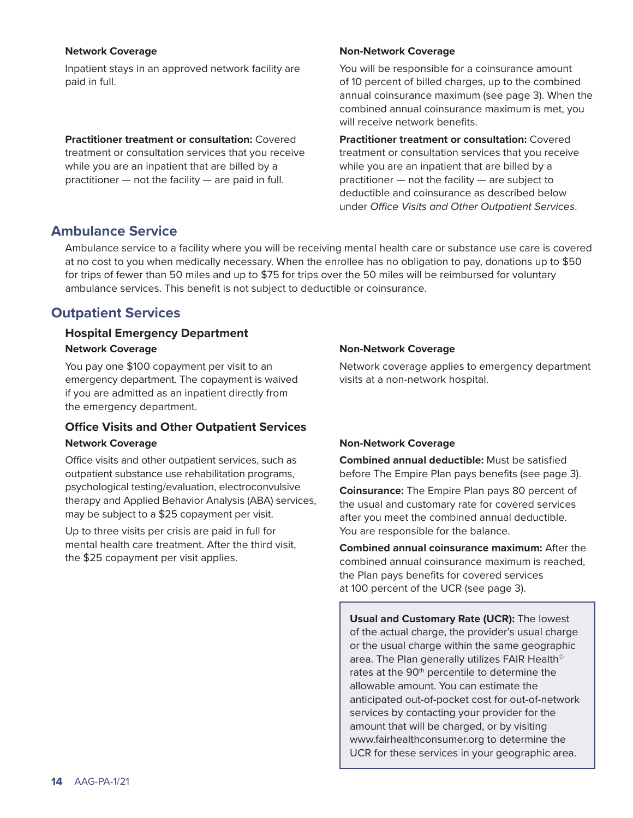#### **Network Coverage**

Inpatient stays in an approved network facility are paid in full.

**Practitioner treatment or consultation:** Covered treatment or consultation services that you receive while you are an inpatient that are billed by a practitioner — not the facility — are paid in full.

### **Non-Network Coverage**

You will be responsible for a coinsurance amount of 10 percent of billed charges, up to the combined annual coinsurance maximum (see page 3). When the combined annual coinsurance maximum is met, you will receive network benefits.

**Practitioner treatment or consultation:** Covered treatment or consultation services that you receive while you are an inpatient that are billed by a practitioner — not the facility — are subject to deductible and coinsurance as described below under *Office Visits and Other Outpatient Services*.

# **Ambulance Service**

Ambulance service to a facility where you will be receiving mental health care or substance use care is covered at no cost to you when medically necessary. When the enrollee has no obligation to pay, donations up to \$50 for trips of fewer than 50 miles and up to \$75 for trips over the 50 miles will be reimbursed for voluntary ambulance services. This benefit is not subject to deductible or coinsurance.

# **Outpatient Services**

# **Hospital Emergency Department Network Coverage**

You pay one \$100 copayment per visit to an emergency department. The copayment is waived if you are admitted as an inpatient directly from the emergency department.

# **Office Visits and Other Outpatient Services**

### **Network Coverage**

Office visits and other outpatient services, such as outpatient substance use rehabilitation programs, psychological testing/evaluation, electroconvulsive therapy and Applied Behavior Analysis (ABA) services, may be subject to a \$25 copayment per visit.

Up to three visits per crisis are paid in full for mental health care treatment. After the third visit, the \$25 copayment per visit applies.

## **Non-Network Coverage**

Network coverage applies to emergency department visits at a non-network hospital.

## **Non-Network Coverage**

**Combined annual deductible:** Must be satisfied before The Empire Plan pays benefits (see page 3).

**Coinsurance:** The Empire Plan pays 80 percent of the usual and customary rate for covered services after you meet the combined annual deductible. You are responsible for the balance.

**Combined annual coinsurance maximum:** After the combined annual coinsurance maximum is reached, the Plan pays benefits for covered services at 100 percent of the UCR (see page 3).

**Usual and Customary Rate (UCR):** The lowest of the actual charge, the provider's usual charge or the usual charge within the same geographic area. The Plan generally utilizes FAIR Health<sup>®</sup> rates at the 90<sup>th</sup> percentile to determine the allowable amount. You can estimate the anticipated out-of-pocket cost for out-of-network services by contacting your provider for the amount that will be charged, or by visiting [www.fairhealthconsumer.org to](http://www.fairhealthconsumer.org) determine the UCR for these services in your geographic area.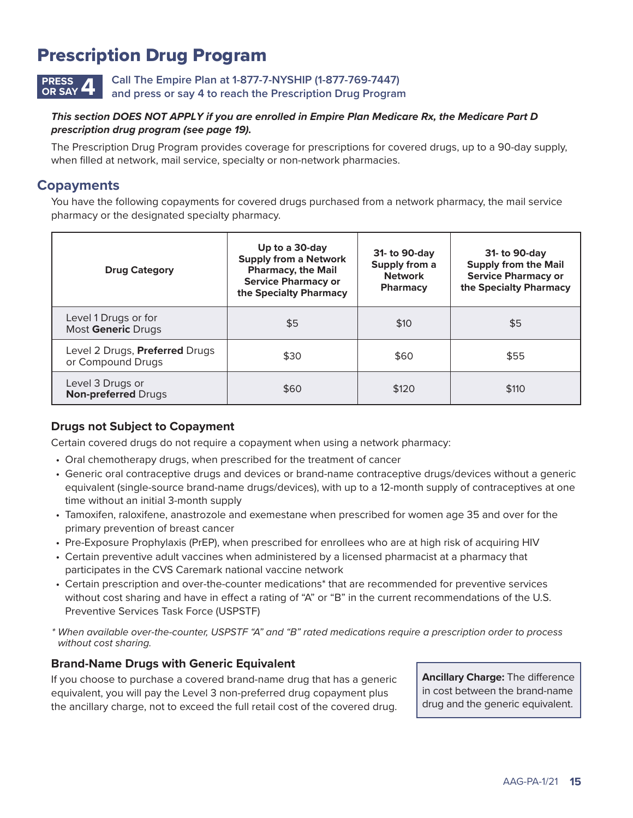# Prescription Drug Program

**Call The Empire Plan at 1-877-7-NYSHIP (1-877-769-7447) and press or say 4 to reach the Prescription Drug Program PRESS OR SAY 4**

### *This section DOES NOT APPLY if you are enrolled in Empire Plan Medicare Rx, the Medicare Part D prescription drug program (see page 19).*

The Prescription Drug Program provides coverage for prescriptions for covered drugs, up to a 90-day supply, when filled at network, mail service, specialty or non-network pharmacies.

# **Copayments**

You have the following copayments for covered drugs purchased from a network pharmacy, the mail service pharmacy or the designated specialty pharmacy.

| <b>Drug Category</b>                                | Up to a 30-day<br><b>Supply from a Network</b><br><b>Pharmacy, the Mail</b><br><b>Service Pharmacy or</b><br>the Specialty Pharmacy | 31- to 90-day<br>Supply from a<br><b>Network</b><br><b>Pharmacy</b> | 31- to 90-day<br><b>Supply from the Mail</b><br><b>Service Pharmacy or</b><br>the Specialty Pharmacy |
|-----------------------------------------------------|-------------------------------------------------------------------------------------------------------------------------------------|---------------------------------------------------------------------|------------------------------------------------------------------------------------------------------|
| Level 1 Drugs or for<br>Most Generic Drugs          | \$5                                                                                                                                 | \$10                                                                | \$5                                                                                                  |
| Level 2 Drugs, Preferred Drugs<br>or Compound Drugs | \$30                                                                                                                                | \$60                                                                | \$55                                                                                                 |
| Level 3 Drugs or<br><b>Non-preferred Drugs</b>      | \$60                                                                                                                                | \$120                                                               | \$110                                                                                                |

## **Drugs not Subject to Copayment**

Certain covered drugs do not require a copayment when using a network pharmacy:

- Oral chemotherapy drugs, when prescribed for the treatment of cancer
- Generic oral contraceptive drugs and devices or brand-name contraceptive drugs/devices without a generic equivalent (single-source brand-name drugs/devices), with up to a 12-month supply of contraceptives at one time without an initial 3-month supply
- Tamoxifen, raloxifene, anastrozole and exemestane when prescribed for women age 35 and over for the primary prevention of breast cancer
- Pre-Exposure Prophylaxis (PrEP), when prescribed for enrollees who are at high risk of acquiring HIV
- Certain preventive adult vaccines when administered by a licensed pharmacist at a pharmacy that participates in the CVS Caremark national vaccine network
- Certain prescription and over-the-counter medications\* that are recommended for preventive services without cost sharing and have in effect a rating of "A" or "B" in the current recommendations of the U.S. Preventive Services Task Force (USPSTF)
- *\* When available over-the-counter, USPSTF "A" and "B" rated medications require a prescription order to process without cost sharing.*

## **Brand-Name Drugs with Generic Equivalent**

If you choose to purchase a covered brand-name drug that has a generic equivalent, you will pay the Level 3 non-preferred drug copayment plus the ancillary charge, not to exceed the full retail cost of the covered drug. **Ancillary Charge:** The difference in cost between the brand-name drug and the generic equivalent.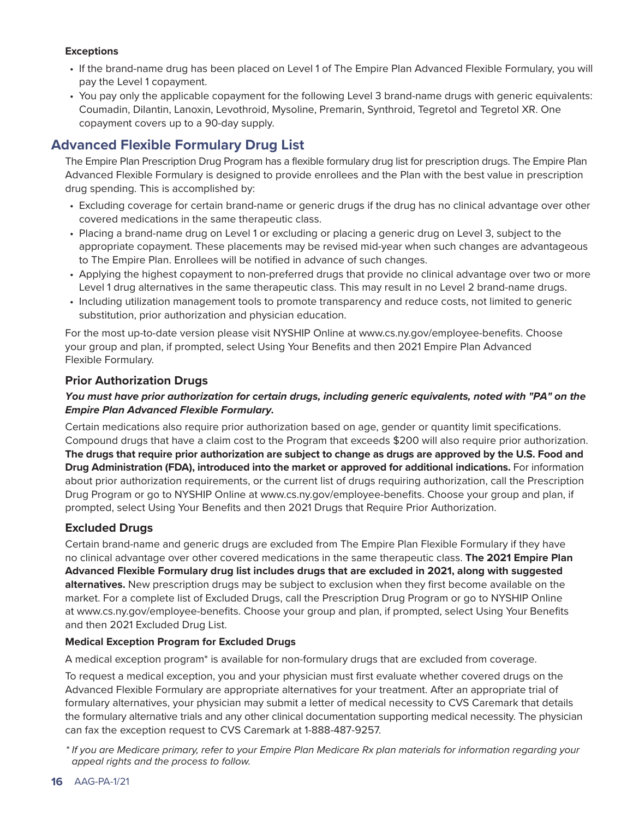### **Exceptions**

- If the brand-name drug has been placed on Level 1 of The Empire Plan Advanced Flexible Formulary, you will pay the Level 1 copayment.
- You pay only the applicable copayment for the following Level 3 brand-name drugs with generic equivalents: Coumadin, Dilantin, Lanoxin, Levothroid, Mysoline, Premarin, Synthroid, Tegretol and Tegretol XR. One copayment covers up to a 90-day supply.

# **Advanced Flexible Formulary Drug List**

The Empire Plan Prescription Drug Program has a flexible formulary drug list for prescription drugs. The Empire Plan Advanced Flexible Formulary is designed to provide enrollees and the Plan with the best value in prescription drug spending. This is accomplished by:

- Excluding coverage for certain brand-name or generic drugs if the drug has no clinical advantage over other covered medications in the same therapeutic class.
- Placing a brand-name drug on Level 1 or excluding or placing a generic drug on Level 3, subject to the appropriate copayment. These placements may be revised mid-year when such changes are advantageous to The Empire Plan. Enrollees will be notified in advance of such changes.
- Applying the highest copayment to non-preferred drugs that provide no clinical advantage over two or more Level 1 drug alternatives in the same therapeutic class. This may result in no Level 2 brand-name drugs.
- Including utilization management tools to promote transparency and reduce costs, not limited to generic substitution, prior authorization and physician education.

For the most up-to-date version please visit NYSHIP Online at [www.cs.ny.gov/employee-benefits. Ch](http://www.cs.ny.gov/employee-benefits)oose your group and plan, if prompted, select Using Your Benefits and then 2021 Empire Plan Advanced Flexible Formulary.

## **Prior Authorization Drugs**

### *You must have prior authorization for certain drugs, including generic equivalents, noted with "PA" on the Empire Plan Advanced Flexible Formulary.*

Certain medications also require prior authorization based on age, gender or quantity limit specifications. Compound drugs that have a claim cost to the Program that exceeds \$200 will also require prior authorization. **The drugs that require prior authorization are subject to change as drugs are approved by the U.S. Food and Drug Administration (FDA), introduced into the market or approved for additional indications.** For information about prior authorization requirements, or the current list of drugs requiring authorization, call the Prescription Drug Program or go to NYSHIP Online at [www.cs.ny.gov/employee-benefits. Ch](http://www.cs.ny.gov/employee-benefits)oose your group and plan, if prompted, select Using Your Benefits and then 2021 Drugs that Require Prior Authorization.

## **Excluded Drugs**

Certain brand-name and generic drugs are excluded from The Empire Plan Flexible Formulary if they have no clinical advantage over other covered medications in the same therapeutic class. **The 2021 Empire Plan Advanced Flexible Formulary drug list includes drugs that are excluded in 2021, along with suggested alternatives.** New prescription drugs may be subject to exclusion when they first become available on the market. For a complete list of Excluded Drugs, call the Prescription Drug Program or go to NYSHIP Online at [www.cs.ny.gov/employee-benefits. Ch](http://www.cs.ny.gov/employee-benefits)oose your group and plan, if prompted, select Using Your Benefits and then 2021 Excluded Drug List.

### **Medical Exception Program for Excluded Drugs**

A medical exception program\* is available for non-formulary drugs that are excluded from coverage.

To request a medical exception, you and your physician must first evaluate whether covered drugs on the Advanced Flexible Formulary are appropriate alternatives for your treatment. After an appropriate trial of formulary alternatives, your physician may submit a letter of medical necessity to CVS Caremark that details the formulary alternative trials and any other clinical documentation supporting medical necessity. The physician can fax the exception request to CVS Caremark at 1-888-487-9257.

*\* If you are Medicare primary, refer to your Empire Plan Medicare Rx plan materials for information regarding your appeal rights and the process to follow.*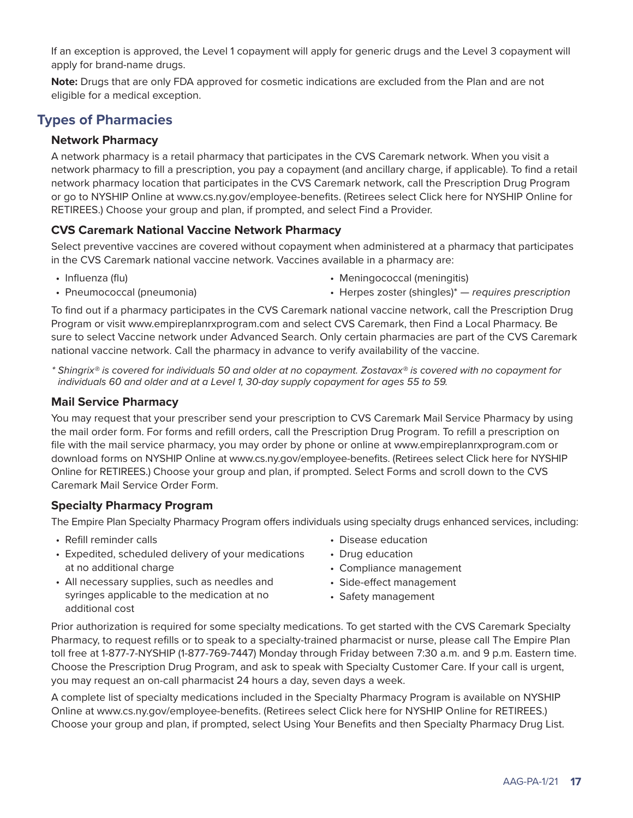If an exception is approved, the Level 1 copayment will apply for generic drugs and the Level 3 copayment will apply for brand-name drugs.

**Note:** Drugs that are only FDA approved for cosmetic indications are excluded from the Plan and are not eligible for a medical exception.

# **Types of Pharmacies**

### **Network Pharmacy**

A network pharmacy is a retail pharmacy that participates in the CVS Caremark network. When you visit a network pharmacy to fill a prescription, you pay a copayment (and ancillary charge, if applicable). To find a retail network pharmacy location that participates in the CVS Caremark network, call the Prescription Drug Program or go to NYSHIP Online at [www.cs.ny.gov/employee-benefits. \(R](http://www.cs.ny.gov/employee-benefits)etirees select Click here for NYSHIP Online for RETIREES.) Choose your group and plan, if prompted, and select Find a Provider.

### **CVS Caremark National Vaccine Network Pharmacy**

Select preventive vaccines are covered without copayment when administered at a pharmacy that participates in the CVS Caremark national vaccine network. Vaccines available in a pharmacy are:

• Influenza (flu)

• Meningococcal (meningitis)

• Pneumococcal (pneumonia)

• Herpes zoster (shingles)\* — *requires prescription*

To find out if a pharmacy participates in the CVS Caremark national vaccine network, call the Prescription Drug Program or visit [www.empireplanrxprogram.com an](http://www.empireplanrxprogram.com)d select CVS Caremark, then Find a Local Pharmacy. Be sure to select Vaccine network under Advanced Search. Only certain pharmacies are part of the CVS Caremark national vaccine network. Call the pharmacy in advance to verify availability of the vaccine.

*\* Shingrix® is covered for individuals 50 and older at no copayment. Zostavax® is covered with no copayment for individuals 60 and older and at a Level 1, 30-day supply copayment for ages 55 to 59.* 

### **Mail Service Pharmacy**

You may request that your prescriber send your prescription to CVS Caremark Mail Service Pharmacy by using the mail order form. For forms and refill orders, call the Prescription Drug Program. To refill a prescription on file with the mail service pharmacy, you may order by phone or online at [www.empireplanrxprogram.com or](http://www.empireplanrxprogram.com) download forms on NYSHIP Online at [www.cs.ny.gov/employee-benefits. \(R](http://www.cs.ny.gov/employee-benefits)etirees select Click here for NYSHIP Online for RETIREES.) Choose your group and plan, if prompted. Select Forms and scroll down to the CVS Caremark Mail Service Order Form.

## **Specialty Pharmacy Program**

The Empire Plan Specialty Pharmacy Program offers individuals using specialty drugs enhanced services, including:

- Refill reminder calls
- Expedited, scheduled delivery of your medications at no additional charge
- All necessary supplies, such as needles and syringes applicable to the medication at no additional cost
- Disease education
- Drug education
- Compliance management
- Side-effect management
- Safety management

Prior authorization is required for some specialty medications. To get started with the CVS Caremark Specialty Pharmacy, to request refills or to speak to a specialty-trained pharmacist or nurse, please call The Empire Plan toll free at 1-877-7-NYSHIP (1-877-769-7447) Monday through Friday between 7:30 a.m. and 9 p.m. Eastern time. Choose the Prescription Drug Program, and ask to speak with Specialty Customer Care. If your call is urgent, you may request an on-call pharmacist 24 hours a day, seven days a week.

A complete list of specialty medications included in the Specialty Pharmacy Program is available on NYSHIP Online at [www.cs.ny.gov/employee-benefits. \(R](http://www.cs.ny.gov/employee-benefits)etirees select Click here for NYSHIP Online for RETIREES.) Choose your group and plan, if prompted, select Using Your Benefits and then Specialty Pharmacy Drug List.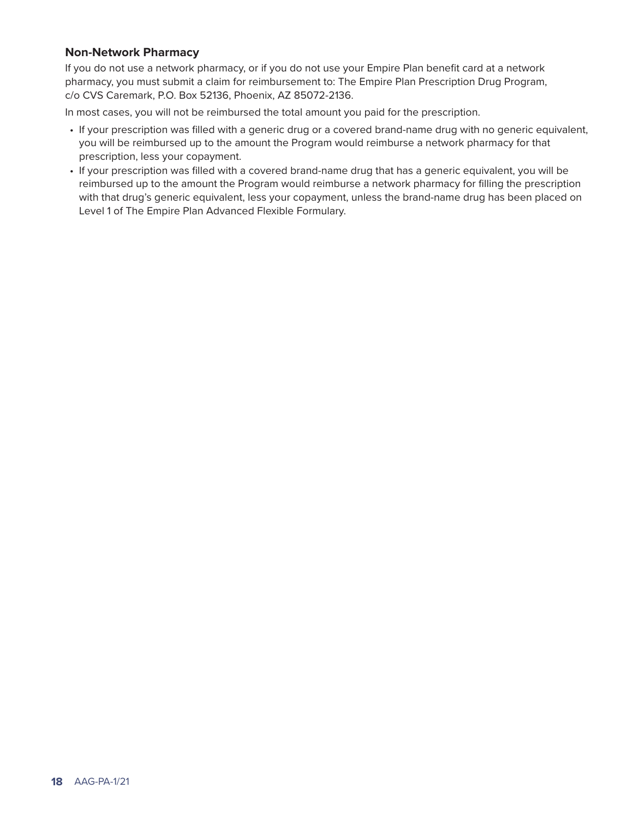### **Non-Network Pharmacy**

If you do not use a network pharmacy, or if you do not use your Empire Plan benefit card at a network pharmacy, you must submit a claim for reimbursement to: The Empire Plan Prescription Drug Program, c/o CVS Caremark, P.O. Box 52136, Phoenix, AZ 85072-2136.

In most cases, you will not be reimbursed the total amount you paid for the prescription.

- If your prescription was filled with a generic drug or a covered brand-name drug with no generic equivalent, you will be reimbursed up to the amount the Program would reimburse a network pharmacy for that prescription, less your copayment.
- If your prescription was filled with a covered brand-name drug that has a generic equivalent, you will be reimbursed up to the amount the Program would reimburse a network pharmacy for filling the prescription with that drug's generic equivalent, less your copayment, unless the brand-name drug has been placed on Level 1 of The Empire Plan Advanced Flexible Formulary.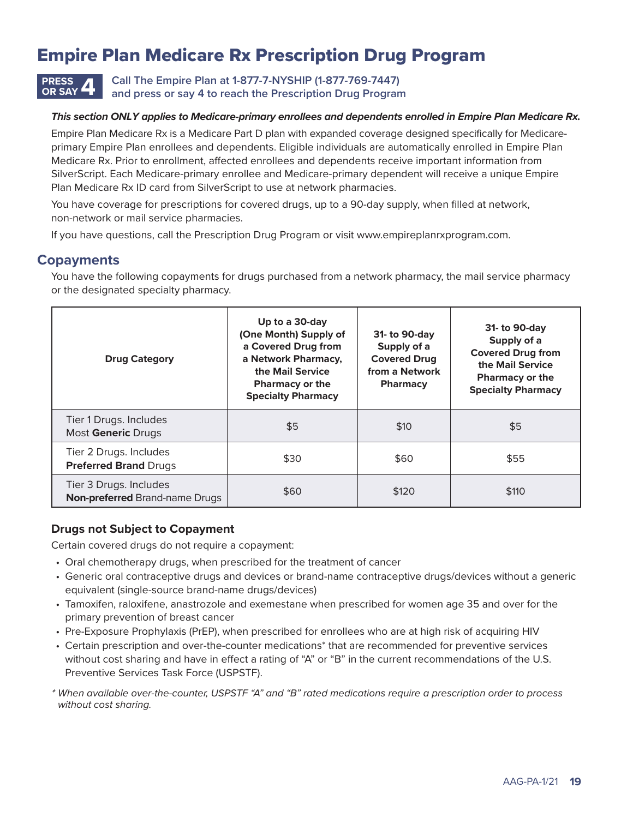# Empire Plan Medicare Rx Prescription Drug Program



**OR SAY 4 Call The Empire Plan at 1-877-7-NYSHIP (1-877-769-7447) and press or say 4 to reach the Prescription Drug Program**

#### *This section ONLY applies to Medicare-primary enrollees and dependents enrolled in Empire Plan Medicare Rx.*

Empire Plan Medicare Rx is a Medicare Part D plan with expanded coverage designed specifically for Medicareprimary Empire Plan enrollees and dependents. Eligible individuals are automatically enrolled in Empire Plan Medicare Rx. Prior to enrollment, affected enrollees and dependents receive important information from SilverScript. Each Medicare-primary enrollee and Medicare-primary dependent will receive a unique Empire Plan Medicare Rx ID card from SilverScript to use at network pharmacies.

You have coverage for prescriptions for covered drugs, up to a 90-day supply, when filled at network, non-network or mail service pharmacies.

If you have questions, call the Prescription Drug Program or visit [www.empireplanrxprogram.com.](http://www.empireplanrxprogram.com)

# **Copayments**

You have the following copayments for drugs purchased from a network pharmacy, the mail service pharmacy or the designated specialty pharmacy.

| <b>Drug Category</b>                                            | Up to a 30-day<br>(One Month) Supply of<br>a Covered Drug from<br>a Network Pharmacy,<br>the Mail Service<br><b>Pharmacy or the</b><br><b>Specialty Pharmacy</b> | 31- to 90-day<br>Supply of a<br><b>Covered Drug</b><br>from a Network<br><b>Pharmacy</b> | 31- to 90-day<br>Supply of a<br><b>Covered Drug from</b><br>the Mail Service<br><b>Pharmacy or the</b><br><b>Specialty Pharmacy</b> |
|-----------------------------------------------------------------|------------------------------------------------------------------------------------------------------------------------------------------------------------------|------------------------------------------------------------------------------------------|-------------------------------------------------------------------------------------------------------------------------------------|
| Tier 1 Drugs. Includes<br>Most Generic Drugs                    | \$5                                                                                                                                                              | \$10                                                                                     | \$5                                                                                                                                 |
| Tier 2 Drugs. Includes<br><b>Preferred Brand Drugs</b>          | \$30                                                                                                                                                             | \$60                                                                                     | \$55                                                                                                                                |
| Tier 3 Drugs. Includes<br><b>Non-preferred Brand-name Drugs</b> | \$60                                                                                                                                                             | \$120                                                                                    | \$110                                                                                                                               |

### **Drugs not Subject to Copayment**

Certain covered drugs do not require a copayment:

- Oral chemotherapy drugs, when prescribed for the treatment of cancer
- Generic oral contraceptive drugs and devices or brand-name contraceptive drugs/devices without a generic equivalent (single-source brand-name drugs/devices)
- Tamoxifen, raloxifene, anastrozole and exemestane when prescribed for women age 35 and over for the primary prevention of breast cancer
- Pre-Exposure Prophylaxis (PrEP), when prescribed for enrollees who are at high risk of acquiring HIV
- Certain prescription and over-the-counter medications\* that are recommended for preventive services without cost sharing and have in effect a rating of "A" or "B" in the current recommendations of the U.S. Preventive Services Task Force (USPSTF).

*\* When available over-the-counter, USPSTF "A" and "B" rated medications require a prescription order to process without cost sharing.*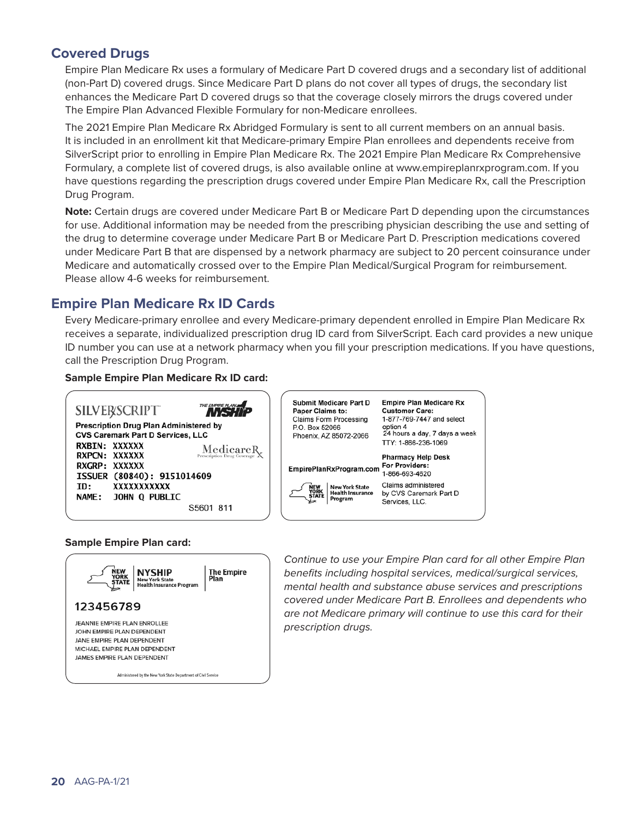# **Covered Drugs**

Empire Plan Medicare Rx uses a formulary of Medicare Part D covered drugs and a secondary list of additional (non-Part D) covered drugs. Since Medicare Part D plans do not cover all types of drugs, the secondary list enhances the Medicare Part D covered drugs so that the coverage closely mirrors the drugs covered under The Empire Plan Advanced Flexible Formulary for non-Medicare enrollees.

The 2021 Empire Plan Medicare Rx Abridged Formulary is sent to all current members on an annual basis. It is included in an enrollment kit that Medicare-primary Empire Plan enrollees and dependents receive from SilverScript prior to enrolling in Empire Plan Medicare Rx. The 2021 Empire Plan Medicare Rx Comprehensive Formulary, a complete list of covered drugs, is also available online at [www.empireplanrxprogram.com. If](http://www.empireplanrxprogram.com) you have questions regarding the prescription drugs covered under Empire Plan Medicare Rx, call the Prescription Drug Program.

**Note:** Certain drugs are covered under Medicare Part B or Medicare Part D depending upon the circumstances for use. Additional information may be needed from the prescribing physician describing the use and setting of the drug to determine coverage under Medicare Part B or Medicare Part D. Prescription medications covered under Medicare Part B that are dispensed by a network pharmacy are subject to 20 percent coinsurance under Medicare and automatically crossed over to the Empire Plan Medical/Surgical Program for reimbursement. Please allow 4-6 weeks for reimbursement.

# **Empire Plan Medicare Rx ID Cards**

Every Medicare-primary enrollee and every Medicare-primary dependent enrolled in Empire Plan Medicare Rx receives a separate, individualized prescription drug ID card from SilverScript. Each card provides a new unique ID number you can use at a network pharmacy when you fill your prescription medications. If you have questions, call the Prescription Drug Program.

#### **Sample Empire Plan Medicare Rx ID card:**



#### **Sample Empire Plan card:**



*Continue to use your Empire Plan card for all other Empire Plan benefits including hospital services, medical/surgical services, mental health and substance abuse services and prescriptions covered under Medicare Part B. Enrollees and dependents who are not Medicare primary will continue to use this card for their prescription drugs.*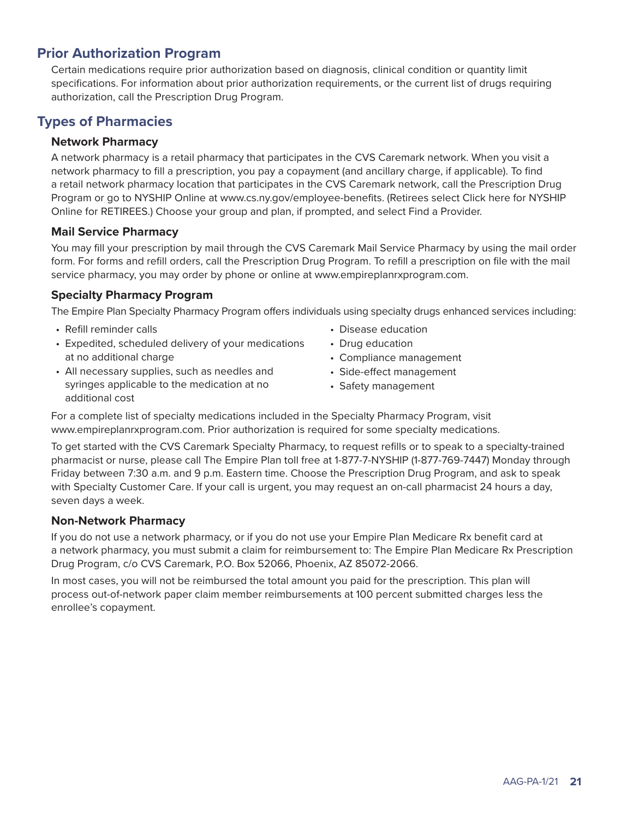# **Prior Authorization Program**

Certain medications require prior authorization based on diagnosis, clinical condition or quantity limit specifications. For information about prior authorization requirements, or the current list of drugs requiring authorization, call the Prescription Drug Program.

# **Types of Pharmacies**

## **Network Pharmacy**

A network pharmacy is a retail pharmacy that participates in the CVS Caremark network. When you visit a network pharmacy to fill a prescription, you pay a copayment (and ancillary charge, if applicable). To find a retail network pharmacy location that participates in the CVS Caremark network, call the Prescription Drug Program or go to NYSHIP Online at [www.cs.ny.gov/employee-benefits. \(R](http://www.cs.ny.gov/employee-benefits)etirees select Click here for NYSHIP Online for RETIREES.) Choose your group and plan, if prompted, and select Find a Provider.

### **Mail Service Pharmacy**

You may fill your prescription by mail through the CVS Caremark Mail Service Pharmacy by using the mail order form. For forms and refill orders, call the Prescription Drug Program. To refill a prescription on file with the mail service pharmacy, you may order by phone or online at [www.empireplanrxprogram.com.](http://www.empireplanrxprogram.com)

## **Specialty Pharmacy Program**

The Empire Plan Specialty Pharmacy Program offers individuals using specialty drugs enhanced services including:

- Refill reminder calls
- Expedited, scheduled delivery of your medications at no additional charge
- Drug education

• Disease education

- Compliance management
- All necessary supplies, such as needles and syringes applicable to the medication at no additional cost
- Side-effect management • Safety management

For a complete list of specialty medications included in the Specialty Pharmacy Program, visit [www.empireplanrxprogram.com. Pr](http://www.empireplanrxprogram.com)ior authorization is required for some specialty medications.

To get started with the CVS Caremark Specialty Pharmacy, to request refills or to speak to a specialty-trained pharmacist or nurse, please call The Empire Plan toll free at 1-877-7-NYSHIP (1-877-769-7447) Monday through Friday between 7:30 a.m. and 9 p.m. Eastern time. Choose the Prescription Drug Program, and ask to speak with Specialty Customer Care. If your call is urgent, you may request an on-call pharmacist 24 hours a day, seven days a week.

## **Non-Network Pharmacy**

If you do not use a network pharmacy, or if you do not use your Empire Plan Medicare Rx benefit card at a network pharmacy, you must submit a claim for reimbursement to: The Empire Plan Medicare Rx Prescription Drug Program, c/o CVS Caremark, P.O. Box 52066, Phoenix, AZ 85072-2066.

In most cases, you will not be reimbursed the total amount you paid for the prescription. This plan will process out-of-network paper claim member reimbursements at 100 percent submitted charges less the enrollee's copayment.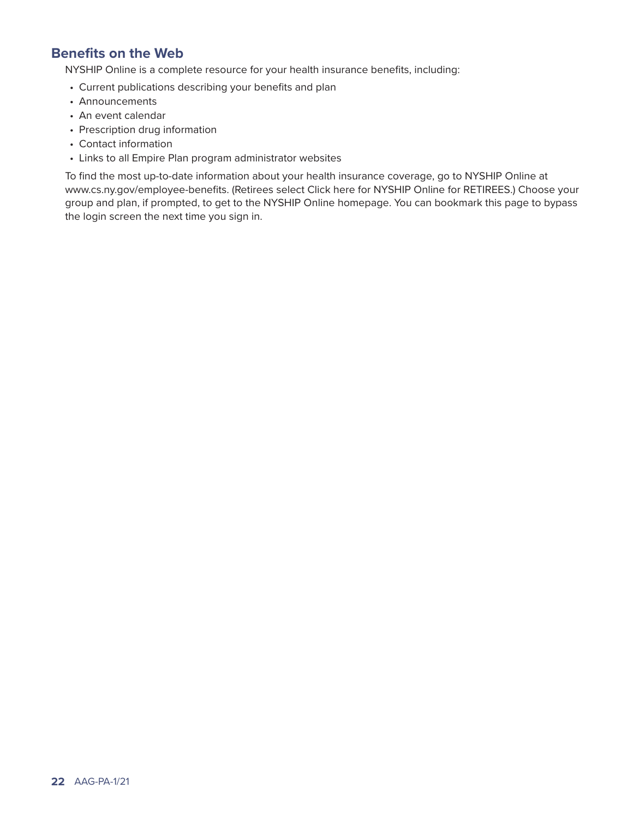# **Benefits on the Web**

NYSHIP Online is a complete resource for your health insurance benefits, including:

- Current publications describing your benefits and plan
- Announcements
- An event calendar
- Prescription drug information
- Contact information
- Links to all Empire Plan program administrator websites

To find the most up-to-date information about your health insurance coverage, go to NYSHIP Online at [www.cs.ny.gov/employee-benefits. \(R](http://www.cs.ny.gov/employee-benefits)etirees select Click here for NYSHIP Online for RETIREES.) Choose your group and plan, if prompted, to get to the NYSHIP Online homepage. You can bookmark this page to bypass the login screen the next time you sign in.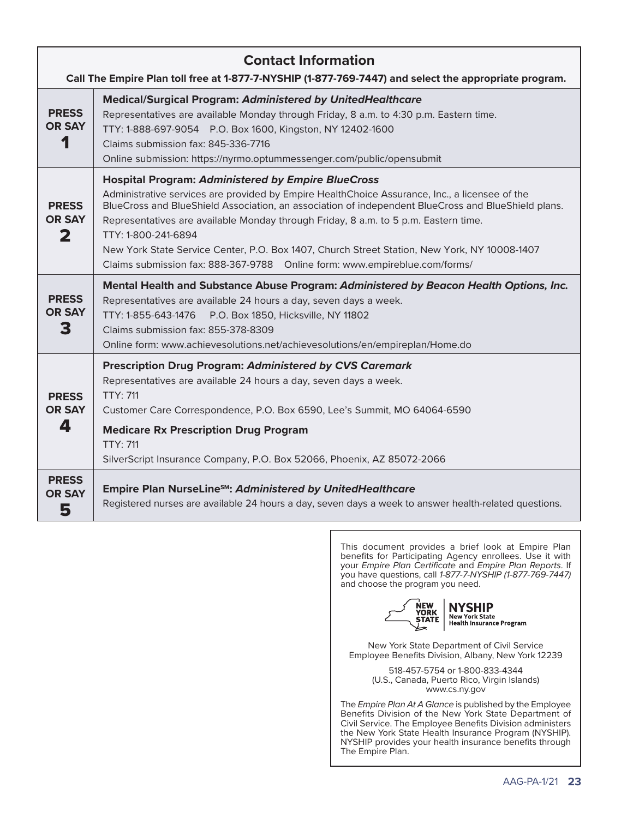| <b>Contact Information</b><br>Call The Empire Plan toll free at 1-877-7-NYSHIP (1-877-769-7447) and select the appropriate program. |                                                                                                                                                                                                                                                                                                                                                                                                                                                                                                                                                                 |  |  |  |
|-------------------------------------------------------------------------------------------------------------------------------------|-----------------------------------------------------------------------------------------------------------------------------------------------------------------------------------------------------------------------------------------------------------------------------------------------------------------------------------------------------------------------------------------------------------------------------------------------------------------------------------------------------------------------------------------------------------------|--|--|--|
| <b>PRESS</b><br><b>OR SAY</b><br>1                                                                                                  | <b>Medical/Surgical Program: Administered by UnitedHealthcare</b><br>Representatives are available Monday through Friday, 8 a.m. to 4:30 p.m. Eastern time.<br>TTY: 1-888-697-9054 P.O. Box 1600, Kingston, NY 12402-1600<br>Claims submission fax: 845-336-7716<br>Online submission: https://nyrmo.optummessenger.com/public/opensubmit                                                                                                                                                                                                                       |  |  |  |
| <b>PRESS</b><br><b>OR SAY</b><br>$\mathbf{2}$                                                                                       | <b>Hospital Program: Administered by Empire BlueCross</b><br>Administrative services are provided by Empire HealthChoice Assurance, Inc., a licensee of the<br>BlueCross and BlueShield Association, an association of independent BlueCross and BlueShield plans.<br>Representatives are available Monday through Friday, 8 a.m. to 5 p.m. Eastern time.<br>TTY: 1-800-241-6894<br>New York State Service Center, P.O. Box 1407, Church Street Station, New York, NY 10008-1407<br>Claims submission fax: 888-367-9788  Online form: www.empireblue.com/forms/ |  |  |  |
| <b>PRESS</b><br><b>OR SAY</b><br>3                                                                                                  | Mental Health and Substance Abuse Program: Administered by Beacon Health Options, Inc.<br>Representatives are available 24 hours a day, seven days a week.<br>TTY: 1-855-643-1476<br>P.O. Box 1850, Hicksville, NY 11802<br>Claims submission fax: 855-378-8309<br>Online form: www.achievesolutions.net/achievesolutions/en/empireplan/Home.do                                                                                                                                                                                                                 |  |  |  |
| <b>PRESS</b><br><b>OR SAY</b><br>4                                                                                                  | <b>Prescription Drug Program: Administered by CVS Caremark</b><br>Representatives are available 24 hours a day, seven days a week.<br><b>TTY: 711</b><br>Customer Care Correspondence, P.O. Box 6590, Lee's Summit, MO 64064-6590<br><b>Medicare Rx Prescription Drug Program</b><br><b>TTY: 711</b><br>SilverScript Insurance Company, P.O. Box 52066, Phoenix, AZ 85072-2066                                                                                                                                                                                  |  |  |  |
| <b>PRESS</b><br><b>OR SAY</b><br>5                                                                                                  | Empire Plan NurseLine <sup>sM</sup> : Administered by UnitedHealthcare<br>Registered nurses are available 24 hours a day, seven days a week to answer health-related questions.                                                                                                                                                                                                                                                                                                                                                                                 |  |  |  |

This document provides a brief look at Empire Plan benefits for Participating Agency enrollees. Use it with your *Empire Plan Certificate* and *Empire Plan Reports*. If you have questions, call *1-877-7-NYSHIP (1-877-769-7447)* and choose the program you need.



New York State Department of Civil Service Employee Benefits Division, Albany, New York 12239

> 518-457-5754 or 1-800-833-4344 (U.S., Canada, Puerto Rico, Virgin Islands) [www.cs.ny.gov](http://www.cs.ny.gov)

The *Empire Plan At A Glance* is published by the Employee Benefits Division of the New York State Department of Civil Service. The Employee Benefits Division administers the New York State Health Insurance Program (NYSHIP). NYSHIP provides your health insurance benefits through The Empire Plan.